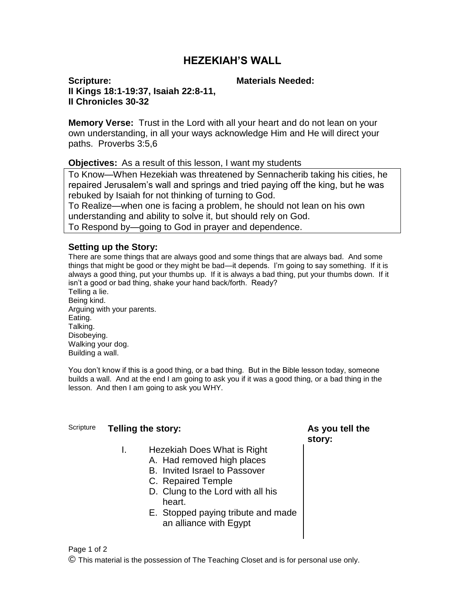## **HEZEKIAH'S WALL**

**Scripture: II Kings 18:1-19:37, Isaiah 22:8-11, II Chronicles 30-32**

#### **Materials Needed:**

**Memory Verse:** Trust in the Lord with all your heart and do not lean on your own understanding, in all your ways acknowledge Him and He will direct your paths. Proverbs 3:5,6

**Objectives:** As a result of this lesson, I want my students

To Know—When Hezekiah was threatened by Sennacherib taking his cities, he repaired Jerusalem's wall and springs and tried paying off the king, but he was rebuked by Isaiah for not thinking of turning to God.

To Realize—when one is facing a problem, he should not lean on his own understanding and ability to solve it, but should rely on God.

To Respond by—going to God in prayer and dependence.

#### **Setting up the Story:**

There are some things that are always good and some things that are always bad. And some things that might be good or they might be bad—it depends. I'm going to say something. If it is always a good thing, put your thumbs up. If it is always a bad thing, put your thumbs down. If it isn't a good or bad thing, shake your hand back/forth. Ready?

Telling a lie. Being kind. Arguing with your parents. Eating. Talking. Disobeying. Walking your dog. Building a wall.

You don't know if this is a good thing, or a bad thing. But in the Bible lesson today, someone builds a wall. And at the end I am going to ask you if it was a good thing, or a bad thing in the lesson. And then I am going to ask you WHY.

#### Scripture **Telling the story: As you tell the**

- I. Hezekiah Does What is Right
	- A. Had removed high places
	- B. Invited Israel to Passover
	- C. Repaired Temple
	- D. Clung to the Lord with all his heart.
	- E. Stopped paying tribute and made an alliance with Egypt

# **story:**